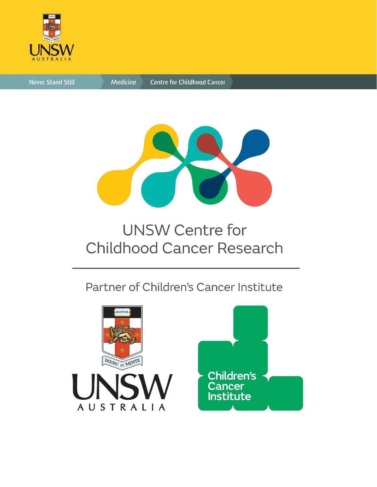

Medicine



# **UNSW Centre for Childhood Cancer Research**

## Partner of Children's Cancer Institute

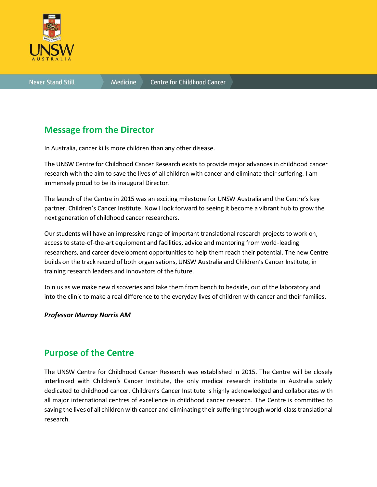

## **Message from the Director**

In Australia, cancer kills more children than any other disease.

The UNSW Centre for Childhood Cancer Research exists to provide major advances in childhood cancer research with the aim to save the lives of all children with cancer and eliminate their suffering. I am immensely proud to be its inaugural Director.

The launch of the Centre in 2015 was an exciting milestone for UNSW Australia and the Centre's key partner, Children's Cancer Institute. Now I look forward to seeing it become a vibrant hub to grow the next generation of childhood cancer researchers.

Our students will have an impressive range of important translational research projects to work on, access to state-of-the-art equipment and facilities, advice and mentoring from world-leading researchers, and career development opportunities to help them reach their potential. The new Centre builds on the track record of both organisations, UNSW Australia and Children's Cancer Institute, in training research leaders and innovators of the future.

Join us as we make new discoveries and take them from bench to bedside, out of the laboratory and into the clinic to make a real difference to the everyday lives of children with cancer and their families.

#### *Professor Murray Norris AM*

## **Purpose of the Centre**

The UNSW Centre for Childhood Cancer Research was established in 2015. The Centre will be closely interlinked with Children's Cancer Institute, the only medical research institute in Australia solely dedicated to childhood cancer. Children's Cancer Institute is highly acknowledged and collaborates with all major international centres of excellence in childhood cancer research. The Centre is committed to saving the lives of all children with cancer and eliminating their suffering through world-class translational research.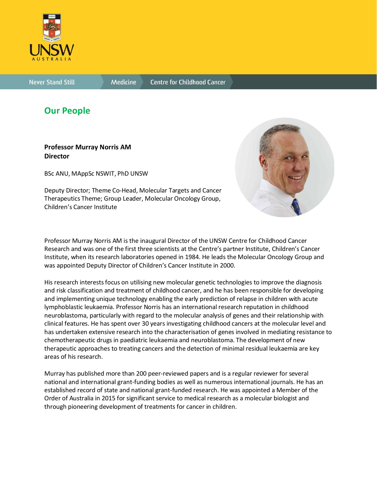

**Medicine** 

**Centre for Childhood Cancer** 

## **Our People**

#### **Professor Murray Norris AM Director**

BSc ANU, MAppSc NSWIT, PhD UNSW

Deputy Director; Theme Co-Head, Molecular Targets and Cancer Therapeutics Theme; Group Leader, Molecular Oncology Group, Children's Cancer Institute



Professor Murray Norris AM is the inaugural Director of the UNSW Centre for Childhood Cancer Research and was one of the first three scientists at the Centre's partner Institute, Children's Cancer Institute, when its research laboratories opened in 1984. He leads the Molecular Oncology Group and was appointed Deputy Director of Children's Cancer Institute in 2000.

His research interests focus on utilising new molecular genetic technologies to improve the diagnosis and risk classification and treatment of childhood cancer, and he has been responsible for developing and implementing unique technology enabling the early prediction of relapse in children with acute lymphoblastic leukaemia. Professor Norris has an international research reputation in childhood neuroblastoma, particularly with regard to the molecular analysis of genes and their relationship with clinical features. He has spent over 30 years investigating childhood cancers at the molecular level and has undertaken extensive research into the characterisation of genes involved in mediating resistance to chemotherapeutic drugs in paediatric leukaemia and neuroblastoma. The development of new therapeutic approaches to treating cancers and the detection of minimal residual leukaemia are key areas of his research.

Murray has published more than 200 peer-reviewed papers and is a regular reviewer for several national and international grant-funding bodies as well as numerous international journals. He has an established record of state and national grant-funded research. He was appointed a Member of the Order of Australia in 2015 for significant service to medical research as a molecular biologist and through pioneering development of treatments for cancer in children.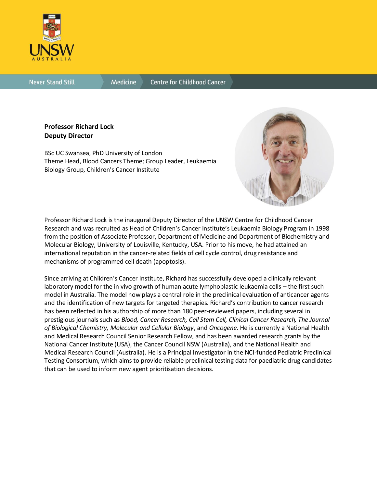

**Medicine** 

**Centre for Childhood Cancer** 

#### **Professor Richard Lock Deputy Director**

BSc UC Swansea, PhD University of London Theme Head, Blood Cancers Theme; Group Leader, Leukaemia Biology Group, Children's Cancer Institute



Professor Richard Lock is the inaugural Deputy Director of the UNSW Centre for Childhood Cancer Research and was recruited as Head of Children's Cancer Institute's Leukaemia Biology Program in 1998 from the position of Associate Professor, Department of Medicine and Department of Biochemistry and Molecular Biology, University of Louisville, Kentucky, USA. Prior to his move, he had attained an international reputation in the cancer-related fields of cell cycle control, drug resistance and mechanisms of programmed cell death (apoptosis).

Since arriving at Children's Cancer Institute, Richard has successfully developed a clinically relevant laboratory model for the in vivo growth of human acute lymphoblastic leukaemia cells – the first such model in Australia. The model now plays a central role in the preclinical evaluation of anticancer agents and the identification of new targets for targeted therapies. Richard's contribution to cancer research has been reflected in his authorship of more than 180 peer-reviewed papers, including several in prestigious journals such as *Blood, Cancer Research, Cell Stem Cell, Clinical Cancer Research, The Journal of Biological Chemistry, Molecular and Cellular Biology*, and *Oncogene*. He is currently a National Health and Medical Research Council Senior Research Fellow, and has been awarded research grants by the National Cancer Institute (USA), the Cancer Council NSW (Australia), and the National Health and Medical Research Council (Australia). He is a Principal Investigator in the NCI-funded Pediatric Preclinical Testing Consortium, which aims to provide reliable preclinical testing data for paediatric drug candidates that can be used to inform new agent prioritisation decisions.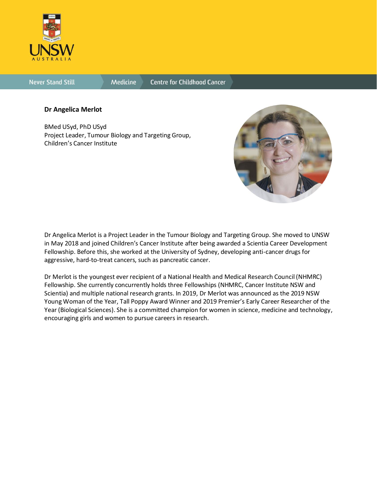

**Medicine** 

**Centre for Childhood Cancer** 

#### **Dr Angelica Merlot**

BMed USyd, PhD USyd Project Leader, Tumour Biology and Targeting Group, Children's Cancer Institute



Dr Angelica Merlot is a Project Leader in the Tumour Biology and Targeting Group. She moved to UNSW in May 2018 and joined Children's Cancer Institute after being awarded a Scientia Career Development Fellowship. Before this, she worked at the University of Sydney, developing anti-cancer drugs for aggressive, hard-to-treat cancers, such as pancreatic cancer.

Dr Merlot is the youngest ever recipient of a National Health and Medical Research Council (NHMRC) Fellowship. She currently concurrently holds three Fellowships (NHMRC, Cancer Institute NSW and Scientia) and multiple national research grants. In 2019, Dr Merlot was announced as the 2019 NSW Young Woman of the Year, Tall Poppy Award Winner and 2019 Premier's Early Career Researcher of the Year (Biological Sciences). She is a committed champion for women in science, medicine and technology, encouraging girls and women to pursue careers in research.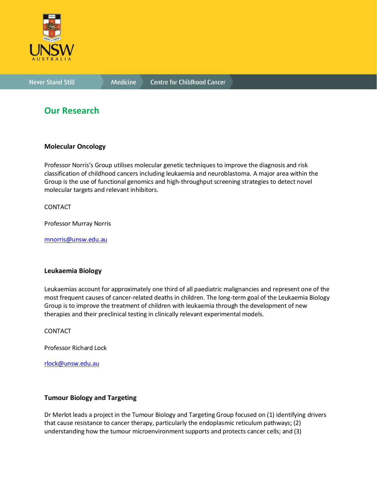

**Medicine** 

## **[Our Research](http://ccia.org.au/home/research-overview/)**

#### **Molecular Oncology**

Professor Norris's Group utilises molecular genetic techniques to improve the diagnosis and risk classification of childhood cancers including leukaemia and neuroblastoma. A major area within the Group is the use of functional genomics and high-throughput screening strategies to detect novel molecular targets and relevant inhibitors.

CONTACT

Professor Murray Norris

[mnorris@unsw.edu.au](mailto:mnorris@unsw.edu.au)

#### **Leukaemia Biology**

Leukaemias account for approximately one third of all paediatric malignancies and represent one of the most frequent causes of cancer-related deaths in children. The long-term goal of the Leukaemia Biology Group is to improve the treatment of children with leukaemia through the development of new therapies and their preclinical testing in clinically relevant experimental models.

CONTACT

Professor Richard Lock

[rlock@unsw.edu.au](mailto:rlock@unsw.edu.au)

#### **Tumour Biology and Targeting**

Dr Merlot leads a project in the Tumour Biology and Targeting Group focused on (1) identifying drivers that cause resistance to cancer therapy, particularly the endoplasmic reticulum pathways; (2) understanding how the tumour microenvironment supports and protects cancer cells; and (3)